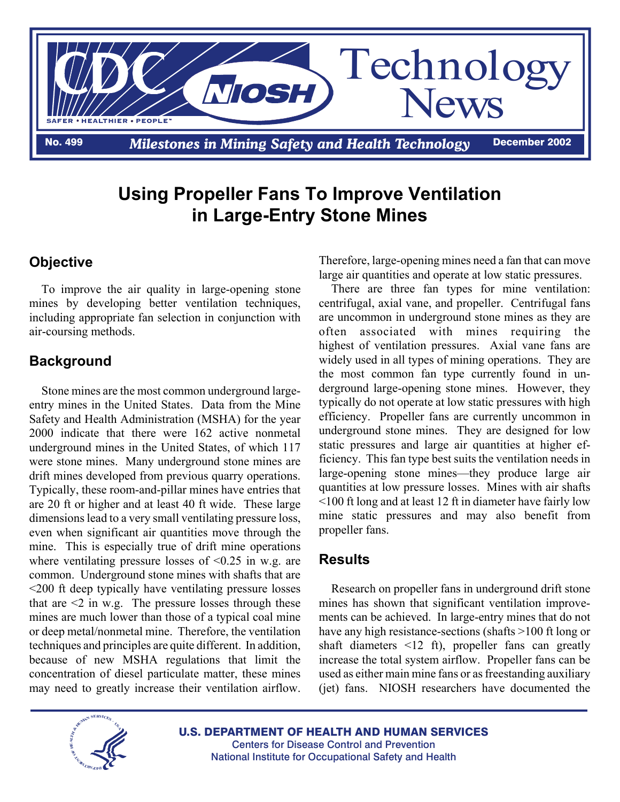

# **Using Propeller Fans To Improve Ventilation in Large-Entry Stone Mines**

## **Objective**

To improve the air quality in large-opening stone mines by developing better ventilation techniques, including appropriate fan selection in conjunction with air-coursing methods.

## **Background**

Stone mines are the most common underground largeentry mines in the United States. Data from the Mine Safety and Health Administration (MSHA) for the year 2000 indicate that there were 162 active nonmetal underground mines in the United States, of which 117 were stone mines. Many underground stone mines are drift mines developed from previous quarry operations. Typically, these room-and-pillar mines have entries that are 20 ft or higher and at least 40 ft wide. These large dimensions lead to a very small ventilating pressure loss, even when significant air quantities move through the mine. This is especially true of drift mine operations where ventilating pressure losses of  $\leq 0.25$  in w.g. are common. Underground stone mines with shafts that are <200 ft deep typically have ventilating pressure losses that are  $\leq 2$  in w.g. The pressure losses through these mines are much lower than those of a typical coal mine or deep metal/nonmetal mine. Therefore, the ventilation techniques and principles are quite different. In addition, because of new MSHA regulations that limit the concentration of diesel particulate matter, these mines may need to greatly increase their ventilation airflow.

Therefore, large-opening mines need a fan that can move large air quantities and operate at low static pressures.

There are three fan types for mine ventilation: centrifugal, axial vane, and propeller. Centrifugal fans are uncommon in underground stone mines as they are often associated with mines requiring the highest of ventilation pressures. Axial vane fans are widely used in all types of mining operations. They are the most common fan type currently found in underground large-opening stone mines. However, they typically do not operate at low static pressures with high efficiency. Propeller fans are currently uncommon in underground stone mines. They are designed for low static pressures and large air quantities at higher efficiency. This fan type best suits the ventilation needs in large-opening stone mines—they produce large air quantities at low pressure losses. Mines with air shafts <100 ft long and at least 12 ft in diameter have fairly low mine static pressures and may also benefit from propeller fans.

#### **Results**

Research on propeller fans in underground drift stone mines has shown that significant ventilation improvements can be achieved. In large-entry mines that do not have any high resistance-sections (shafts >100 ft long or shaft diameters <12 ft), propeller fans can greatly increase the total system airflow. Propeller fans can be used as either main mine fans or as freestanding auxiliary (jet) fans. NIOSH researchers have documented the



U.S. DEPARTMENT OF HEALTH AND HUMAN SERVICES Centers for Disease Control and Prevention National Institute for Occupational Safety and Health